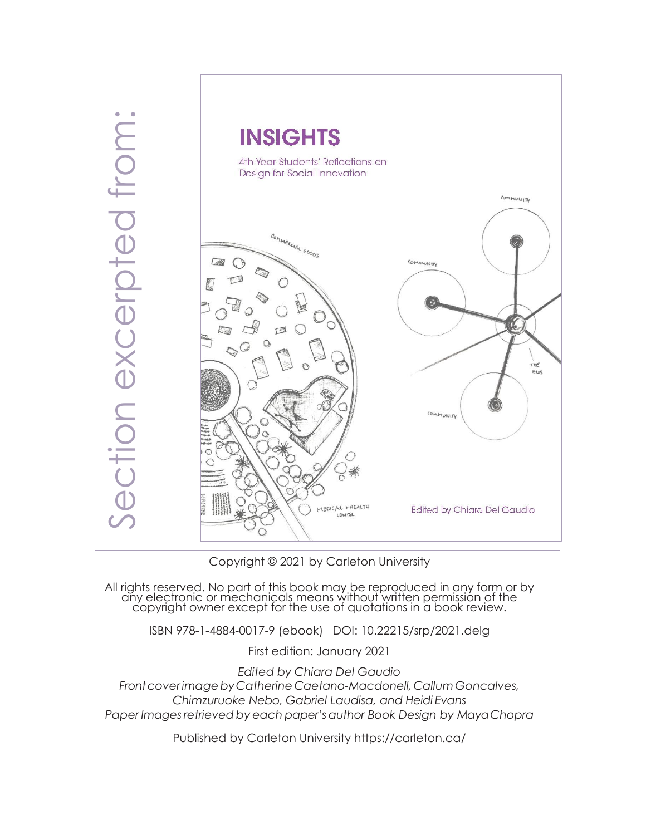

Copyright © 2021 by Carleton University

All rights reserved. No part of this book may be reproduced in any form or by any electronic or mechanicals means without written permission of the copyright owner except for the use of quotations in a book review.

ISBN 978-1-4884-0017-9 (ebook) DOI: 10.22215/srp/2021.delg

First edition: January 2021

*Edited by Chiara Del Gaudio*

*FrontcoverimagebyCatherine Caetano-Macdonell, CallumGoncalves, Chimzuruoke Nebo, Gabriel Laudisa, and Heidi Evans Paper Imagesretrieved by each paper'sauthor Book Design by MayaChopra*

Published by Carleton University https://carleton.ca/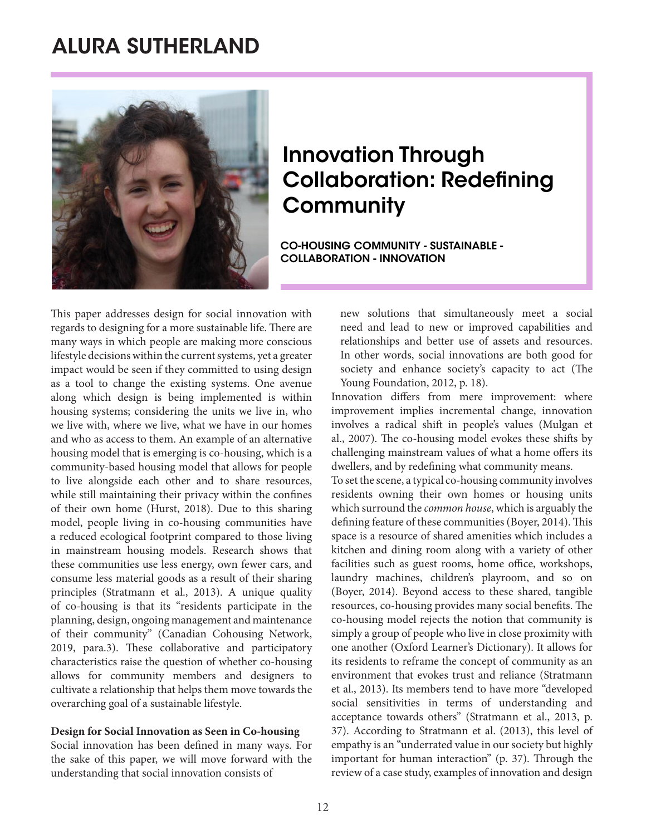## ALURA SUTHERLAND



## Innovation Through Collaboration: Redefining **Community**

CO-HOUSING COMMUNITY - SUSTAINABLE - COLLABORATION - INNOVATION

This paper addresses design for social innovation with regards to designing for a more sustainable life. There are many ways in which people are making more conscious lifestyle decisions within the current systems, yet a greater impact would be seen if they committed to using design as a tool to change the existing systems. One avenue along which design is being implemented is within housing systems; considering the units we live in, who we live with, where we live, what we have in our homes and who as access to them. An example of an alternative housing model that is emerging is co-housing, which is a community-based housing model that allows for people to live alongside each other and to share resources, while still maintaining their privacy within the confines of their own home (Hurst, 2018). Due to this sharing model, people living in co-housing communities have a reduced ecological footprint compared to those living in mainstream housing models. Research shows that these communities use less energy, own fewer cars, and consume less material goods as a result of their sharing principles (Stratmann et al., 2013). A unique quality of co-housing is that its "residents participate in the planning, design, ongoing management and maintenance of their community" (Canadian Cohousing Network, 2019, para.3). These collaborative and participatory characteristics raise the question of whether co-housing allows for community members and designers to cultivate a relationship that helps them move towards the overarching goal of a sustainable lifestyle.

#### **Design for Social Innovation as Seen in Co-housing**

Social innovation has been defined in many ways. For the sake of this paper, we will move forward with the understanding that social innovation consists of

new solutions that simultaneously meet a social need and lead to new or improved capabilities and relationships and better use of assets and resources. In other words, social innovations are both good for society and enhance society's capacity to act (The Young Foundation, 2012, p. 18).

Innovation differs from mere improvement: where improvement implies incremental change, innovation involves a radical shift in people's values (Mulgan et al., 2007). The co-housing model evokes these shifts by challenging mainstream values of what a home offers its dwellers, and by redefining what community means.

To set the scene, a typical co-housing community involves residents owning their own homes or housing units which surround the *common house*, which is arguably the defining feature of these communities (Boyer, 2014). This space is a resource of shared amenities which includes a kitchen and dining room along with a variety of other facilities such as guest rooms, home office, workshops, laundry machines, children's playroom, and so on (Boyer, 2014). Beyond access to these shared, tangible resources, co-housing provides many social benefits. The co-housing model rejects the notion that community is simply a group of people who live in close proximity with one another (Oxford Learner's Dictionary). It allows for its residents to reframe the concept of community as an environment that evokes trust and reliance (Stratmann et al., 2013). Its members tend to have more "developed social sensitivities in terms of understanding and acceptance towards others" (Stratmann et al., 2013, p. 37). According to Stratmann et al. (2013), this level of empathy is an "underrated value in our society but highly important for human interaction" (p. 37). Through the review of a case study, examples of innovation and design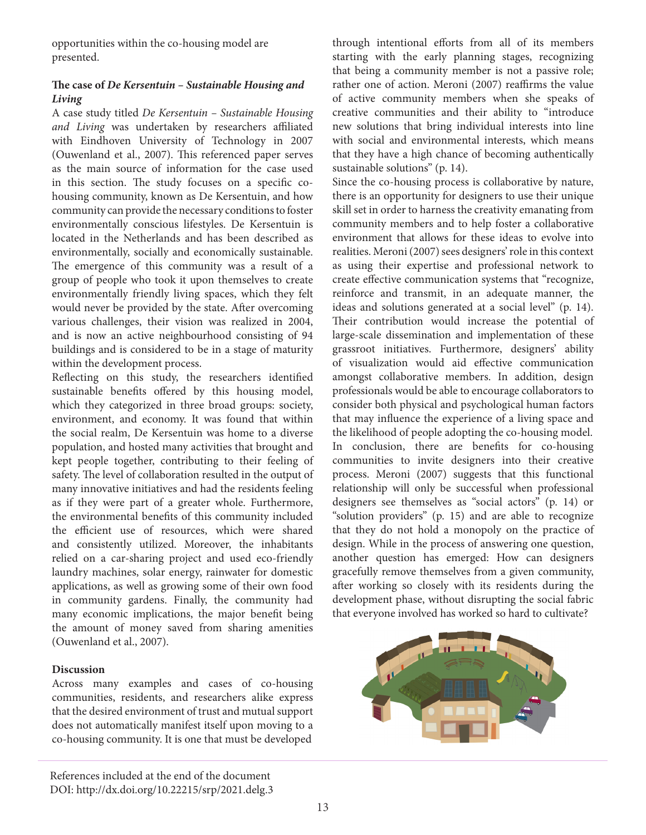opportunities within the co-housing model are presented.

### **The case of** *De Kersentuin – Sustainable Housing and Living*

A case study titled *De Kersentuin – Sustainable Housing and Living* was undertaken by researchers affiliated with Eindhoven University of Technology in 2007 (Ouwenland et al., 2007). This referenced paper serves as the main source of information for the case used in this section. The study focuses on a specific cohousing community, known as De Kersentuin, and how community can provide the necessary conditions to foster environmentally conscious lifestyles. De Kersentuin is located in the Netherlands and has been described as environmentally, socially and economically sustainable. The emergence of this community was a result of a group of people who took it upon themselves to create environmentally friendly living spaces, which they felt would never be provided by the state. After overcoming various challenges, their vision was realized in 2004, and is now an active neighbourhood consisting of 94 buildings and is considered to be in a stage of maturity within the development process.

Reflecting on this study, the researchers identified sustainable benefits offered by this housing model, which they categorized in three broad groups: society, environment, and economy. It was found that within the social realm, De Kersentuin was home to a diverse population, and hosted many activities that brought and kept people together, contributing to their feeling of safety. The level of collaboration resulted in the output of many innovative initiatives and had the residents feeling as if they were part of a greater whole. Furthermore, the environmental benefits of this community included the efficient use of resources, which were shared and consistently utilized. Moreover, the inhabitants relied on a car-sharing project and used eco-friendly laundry machines, solar energy, rainwater for domestic applications, as well as growing some of their own food in community gardens. Finally, the community had many economic implications, the major benefit being the amount of money saved from sharing amenities (Ouwenland et al., 2007).

#### **Discussion**

Across many examples and cases of co-housing communities, residents, and researchers alike express that the desired environment of trust and mutual support does not automatically manifest itself upon moving to a co-housing community. It is one that must be developed

through intentional efforts from all of its members starting with the early planning stages, recognizing that being a community member is not a passive role; rather one of action. Meroni (2007) reaffirms the value of active community members when she speaks of creative communities and their ability to "introduce new solutions that bring individual interests into line with social and environmental interests, which means that they have a high chance of becoming authentically sustainable solutions" (p. 14).

Since the co-housing process is collaborative by nature, there is an opportunity for designers to use their unique skill set in order to harness the creativity emanating from community members and to help foster a collaborative environment that allows for these ideas to evolve into realities. Meroni (2007) sees designers' role in this context as using their expertise and professional network to create effective communication systems that "recognize, reinforce and transmit, in an adequate manner, the ideas and solutions generated at a social level" (p. 14). Their contribution would increase the potential of large-scale dissemination and implementation of these grassroot initiatives. Furthermore, designers' ability of visualization would aid effective communication amongst collaborative members. In addition, design professionals would be able to encourage collaborators to consider both physical and psychological human factors that may influence the experience of a living space and the likelihood of people adopting the co-housing model. In conclusion, there are benefits for co-housing communities to invite designers into their creative process. Meroni (2007) suggests that this functional relationship will only be successful when professional designers see themselves as "social actors" (p. 14) or "solution providers" (p. 15) and are able to recognize that they do not hold a monopoly on the practice of design. While in the process of answering one question, another question has emerged: How can designers gracefully remove themselves from a given community, after working so closely with its residents during the development phase, without disrupting the social fabric that everyone involved has worked so hard to cultivate?



References included at the end of the document DOI: http://dx.doi.org/10.22215/srp/2021.delg.3